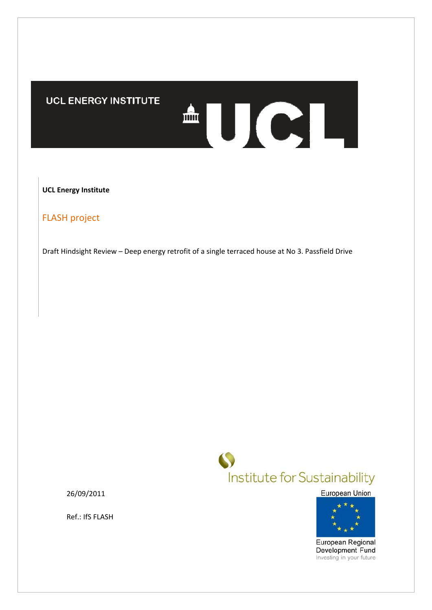# **UCL ENERGY INSTITUTE**

**UCL Energy Institute**

FLASH project

Draft Hindsight Review – Deep energy retrofit of a single terraced house at No 3. Passfield Drive



AUCL

26/09/2011

Ref.: IfS FLASH

European Union



European Regional Development Fund Investing in your future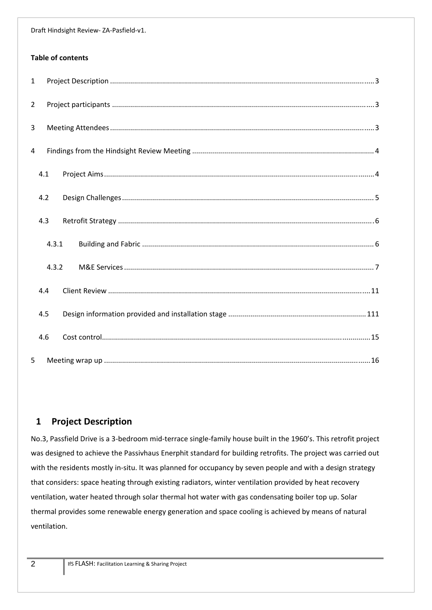## **Table of contents**

| $\mathbf{1}$   |       |  |
|----------------|-------|--|
| $2^{\circ}$    |       |  |
| $\overline{3}$ |       |  |
| 4              |       |  |
|                | 4.1   |  |
|                | 4.2   |  |
|                | 4.3   |  |
|                | 4.3.1 |  |
|                | 4.3.2 |  |
|                | 4.4   |  |
|                | 4.5   |  |
|                | 4.6   |  |
| 5              |       |  |

# **1 Project Description**

No.3, Passfield Drive is a 3‐bedroom mid‐terrace single‐family house built in the 1960's. This retrofit project was designed to achieve the Passivhaus Enerphit standard for building retrofits. The project was carried out with the residents mostly in-situ. It was planned for occupancy by seven people and with a design strategy that considers: space heating through existing radiators, winter ventilation provided by heat recovery ventilation, water heated through solar thermal hot water with gas condensating boiler top up. Solar thermal provides some renewable energy generation and space cooling is achieved by means of natural ventilation.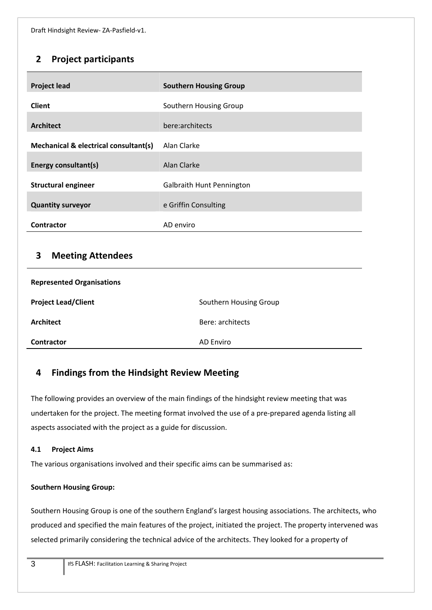# **2 Project participants**

| <b>Project lead</b>                   | <b>Southern Housing Group</b>    |
|---------------------------------------|----------------------------------|
| <b>Client</b>                         | Southern Housing Group           |
| <b>Architect</b>                      | bere:architects                  |
| Mechanical & electrical consultant(s) | Alan Clarke                      |
| <b>Energy consultant(s)</b>           | Alan Clarke                      |
| <b>Structural engineer</b>            | <b>Galbraith Hunt Pennington</b> |
| <b>Quantity surveyor</b>              | e Griffin Consulting             |
| <b>Contractor</b>                     | AD enviro                        |

# **3 Meeting Attendees**

| <b>Represented Organisations</b> |                        |  |  |  |
|----------------------------------|------------------------|--|--|--|
| <b>Project Lead/Client</b>       | Southern Housing Group |  |  |  |
| <b>Architect</b>                 | Bere: architects       |  |  |  |
| <b>Contractor</b>                | AD Enviro              |  |  |  |

# **4 Findings from the Hindsight Review Meeting**

The following provides an overview of the main findings of the hindsight review meeting that was undertaken for the project. The meeting format involved the use of a pre‐prepared agenda listing all aspects associated with the project as a guide for discussion.

# **4.1 Project Aims**

The various organisations involved and their specific aims can be summarised as:

# **Southern Housing Group:**

Southern Housing Group is one of the southern England's largest housing associations. The architects, who produced and specified the main features of the project, initiated the project. The property intervened was selected primarily considering the technical advice of the architects. They looked for a property of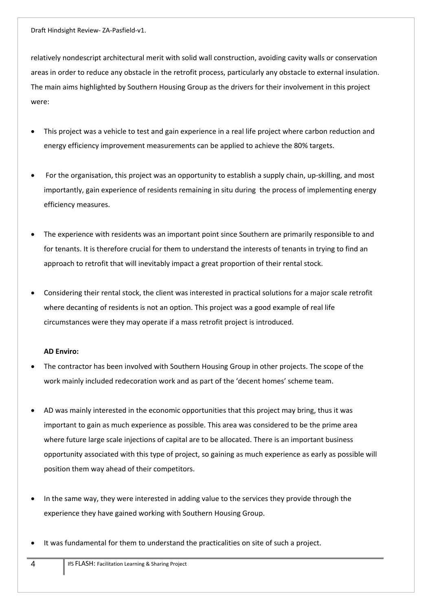relatively nondescript architectural merit with solid wall construction, avoiding cavity walls or conservation areas in order to reduce any obstacle in the retrofit process, particularly any obstacle to external insulation. The main aims highlighted by Southern Housing Group as the drivers for their involvement in this project were:

- This project was a vehicle to test and gain experience in a real life project where carbon reduction and energy efficiency improvement measurements can be applied to achieve the 80% targets.
- For the organisation, this project was an opportunity to establish a supply chain, up‐skilling, and most importantly, gain experience of residents remaining in situ during the process of implementing energy efficiency measures.
- The experience with residents was an important point since Southern are primarily responsible to and for tenants. It is therefore crucial for them to understand the interests of tenants in trying to find an approach to retrofit that will inevitably impact a great proportion of their rental stock.
- Considering their rental stock, the client was interested in practical solutions for a major scale retrofit where decanting of residents is not an option. This project was a good example of real life circumstances were they may operate if a mass retrofit project is introduced.

#### **AD Enviro:**

- The contractor has been involved with Southern Housing Group in other projects. The scope of the work mainly included redecoration work and as part of the 'decent homes' scheme team.
- AD was mainly interested in the economic opportunities that this project may bring, thus it was important to gain as much experience as possible. This area was considered to be the prime area where future large scale injections of capital are to be allocated. There is an important business opportunity associated with this type of project, so gaining as much experience as early as possible will position them way ahead of their competitors.
- In the same way, they were interested in adding value to the services they provide through the experience they have gained working with Southern Housing Group.
- It was fundamental for them to understand the practicalities on site of such a project.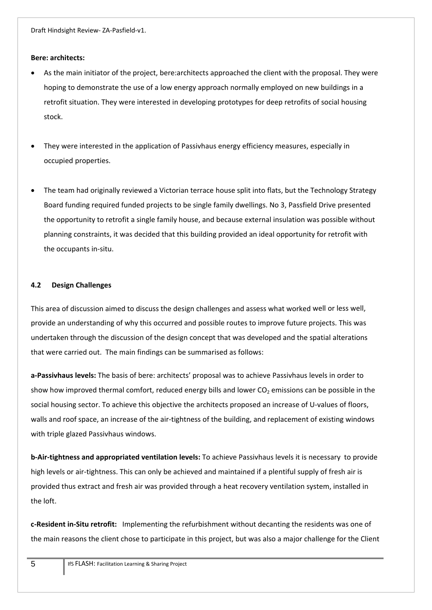#### **Bere: architects:**

- As the main initiator of the project, bere:architects approached the client with the proposal. They were hoping to demonstrate the use of a low energy approach normally employed on new buildings in a retrofit situation. They were interested in developing prototypes for deep retrofits of social housing stock.
- They were interested in the application of Passivhaus energy efficiency measures, especially in occupied properties.
- The team had originally reviewed a Victorian terrace house split into flats, but the Technology Strategy Board funding required funded projects to be single family dwellings. No 3, Passfield Drive presented the opportunity to retrofit a single family house, and because external insulation was possible without planning constraints, it was decided that this building provided an ideal opportunity for retrofit with the occupants in‐situ.

#### **4.2 Design Challenges**

This area of discussion aimed to discuss the design challenges and assess what worked well or less well, provide an understanding of why this occurred and possible routes to improve future projects. This was undertaken through the discussion of the design concept that was developed and the spatial alterations that were carried out. The main findings can be summarised as follows:

**a‐Passivhaus levels:** The basis of bere: architects' proposal was to achieve Passivhaus levels in order to show how improved thermal comfort, reduced energy bills and lower  $CO<sub>2</sub>$  emissions can be possible in the social housing sector. To achieve this objective the architects proposed an increase of U-values of floors, walls and roof space, an increase of the air-tightness of the building, and replacement of existing windows with triple glazed Passivhaus windows.

**b‐Air‐tightness and appropriated ventilation levels:** To achieve Passivhaus levels it is necessary to provide high levels or air-tightness. This can only be achieved and maintained if a plentiful supply of fresh air is provided thus extract and fresh air was provided through a heat recovery ventilation system, installed in the loft.

**c‐Resident in‐Situ retrofit:**  Implementing the refurbishment without decanting the residents was one of the main reasons the client chose to participate in this project, but was also a major challenge for the Client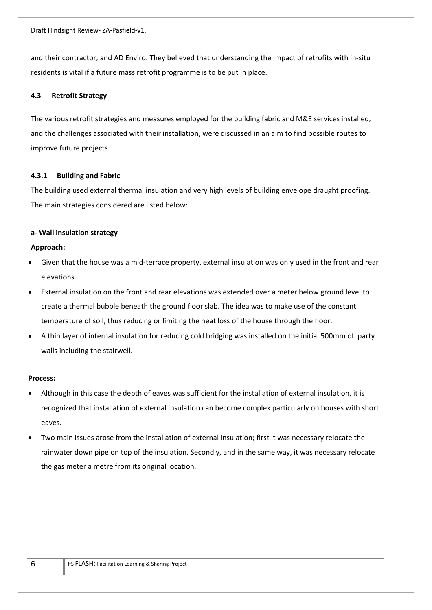and their contractor, and AD Enviro. They believed that understanding the impact of retrofits with in-situ residents is vital if a future mass retrofit programme is to be put in place.

## **4.3 Retrofit Strategy**

The various retrofit strategies and measures employed for the building fabric and M&E services installed, and the challenges associated with their installation, were discussed in an aim to find possible routes to improve future projects.

## **4.3.1 Building and Fabric**

The building used external thermal insulation and very high levels of building envelope draught proofing. The main strategies considered are listed below:

## **a‐ Wall insulation strategy**

## **Approach:**

- Given that the house was a mid‐terrace property, external insulation was only used in the front and rear elevations.
- External insulation on the front and rear elevations was extended over a meter below ground level to create a thermal bubble beneath the ground floor slab. The idea was to make use of the constant temperature of soil, thus reducing or limiting the heat loss of the house through the floor.
- A thin layer of internal insulation for reducing cold bridging was installed on the initial 500mm of party walls including the stairwell.

### **Process:**

- Although in this case the depth of eaves was sufficient for the installation of external insulation, it is recognized that installation of external insulation can become complex particularly on houses with short eaves.
- Two main issues arose from the installation of external insulation; first it was necessary relocate the rainwater down pipe on top of the insulation. Secondly, and in the same way, it was necessary relocate the gas meter a metre from its original location.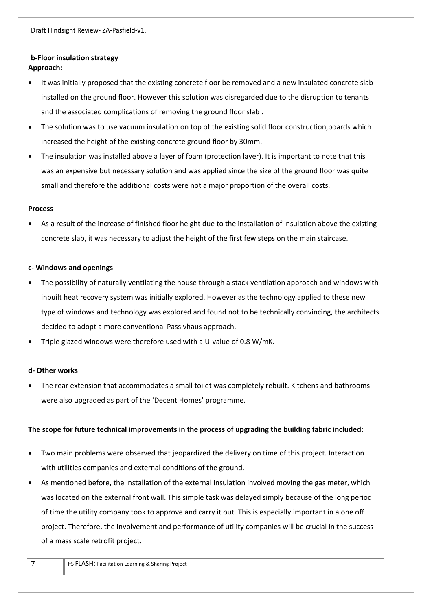# **b‐Floor insulation strategy Approach:**

- It was initially proposed that the existing concrete floor be removed and a new insulated concrete slab installed on the ground floor. However this solution was disregarded due to the disruption to tenants and the associated complications of removing the ground floor slab .
- The solution was to use vacuum insulation on top of the existing solid floor construction, boards which increased the height of the existing concrete ground floor by 30mm.
- The insulation was installed above a layer of foam (protection layer). It is important to note that this was an expensive but necessary solution and was applied since the size of the ground floor was quite small and therefore the additional costs were not a major proportion of the overall costs.

## **Process**

 As a result of the increase of finished floor height due to the installation of insulation above the existing concrete slab, it was necessary to adjust the height of the first few steps on the main staircase.

## **c‐ Windows and openings**

- The possibility of naturally ventilating the house through a stack ventilation approach and windows with inbuilt heat recovery system was initially explored. However as the technology applied to these new type of windows and technology was explored and found not to be technically convincing, the architects decided to adopt a more conventional Passivhaus approach.
- Triple glazed windows were therefore used with a U‐value of 0.8 W/mK.

# **d‐ Other works**

 The rear extension that accommodates a small toilet was completely rebuilt. Kitchens and bathrooms were also upgraded as part of the 'Decent Homes' programme.

# **The scope for future technical improvements in the process of upgrading the building fabric included:**

- Two main problems were observed that jeopardized the delivery on time of this project. Interaction with utilities companies and external conditions of the ground.
- As mentioned before, the installation of the external insulation involved moving the gas meter, which was located on the external front wall. This simple task was delayed simply because of the long period of time the utility company took to approve and carry it out. This is especially important in a one off project. Therefore, the involvement and performance of utility companies will be crucial in the success of a mass scale retrofit project.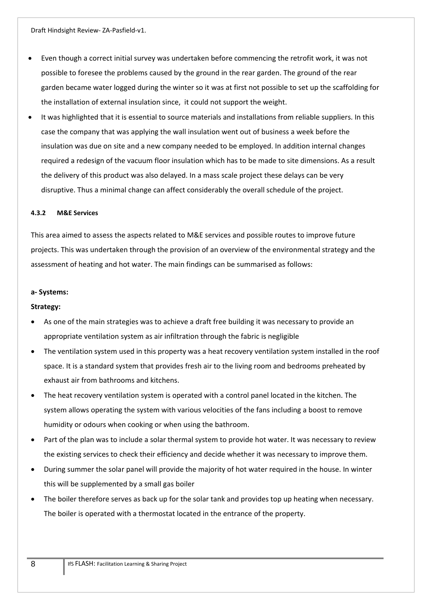- Even though a correct initial survey was undertaken before commencing the retrofit work, it was not possible to foresee the problems caused by the ground in the rear garden. The ground of the rear garden became water logged during the winter so it was at first not possible to set up the scaffolding for the installation of external insulation since, it could not support the weight.
- It was highlighted that it is essential to source materials and installations from reliable suppliers. In this case the company that was applying the wall insulation went out of business a week before the insulation was due on site and a new company needed to be employed. In addition internal changes required a redesign of the vacuum floor insulation which has to be made to site dimensions. As a result the delivery of this product was also delayed. In a mass scale project these delays can be very disruptive. Thus a minimal change can affect considerably the overall schedule of the project.

#### **4.3.2 M&E Services**

This area aimed to assess the aspects related to M&E services and possible routes to improve future projects. This was undertaken through the provision of an overview of the environmental strategy and the assessment of heating and hot water. The main findings can be summarised as follows:

#### **a‐ Systems:**

#### **Strategy:**

- As one of the main strategies was to achieve a draft free building it was necessary to provide an appropriate ventilation system as air infiltration through the fabric is negligible
- The ventilation system used in this property was a heat recovery ventilation system installed in the roof space. It is a standard system that provides fresh air to the living room and bedrooms preheated by exhaust air from bathrooms and kitchens.
- The heat recovery ventilation system is operated with a control panel located in the kitchen. The system allows operating the system with various velocities of the fans including a boost to remove humidity or odours when cooking or when using the bathroom.
- Part of the plan was to include a solar thermal system to provide hot water. It was necessary to review the existing services to check their efficiency and decide whether it was necessary to improve them.
- During summer the solar panel will provide the majority of hot water required in the house. In winter this will be supplemented by a small gas boiler
- The boiler therefore serves as back up for the solar tank and provides top up heating when necessary. The boiler is operated with a thermostat located in the entrance of the property.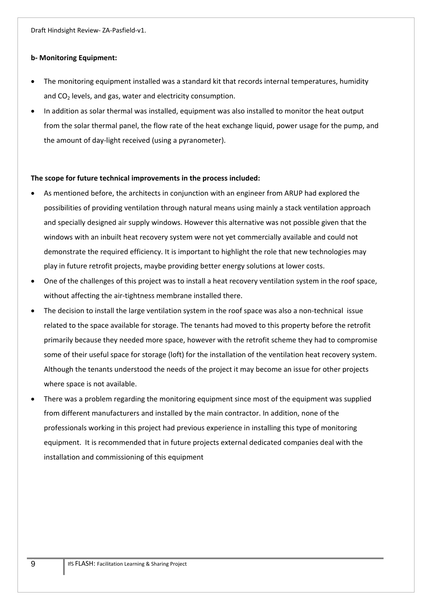#### **b‐ Monitoring Equipment:**

- The monitoring equipment installed was a standard kit that records internal temperatures, humidity and  $CO<sub>2</sub>$  levels, and gas, water and electricity consumption.
- In addition as solar thermal was installed, equipment was also installed to monitor the heat output from the solar thermal panel, the flow rate of the heat exchange liquid, power usage for the pump, and the amount of day‐light received (using a pyranometer).

#### **The scope for future technical improvements in the process included:**

- As mentioned before, the architects in conjunction with an engineer from ARUP had explored the possibilities of providing ventilation through natural means using mainly a stack ventilation approach and specially designed air supply windows. However this alternative was not possible given that the windows with an inbuilt heat recovery system were not yet commercially available and could not demonstrate the required efficiency. It is important to highlight the role that new technologies may play in future retrofit projects, maybe providing better energy solutions at lower costs.
- One of the challenges of this project was to install a heat recovery ventilation system in the roof space, without affecting the air-tightness membrane installed there.
- The decision to install the large ventilation system in the roof space was also a non-technical issue related to the space available for storage. The tenants had moved to this property before the retrofit primarily because they needed more space, however with the retrofit scheme they had to compromise some of their useful space for storage (loft) for the installation of the ventilation heat recovery system. Although the tenants understood the needs of the project it may become an issue for other projects where space is not available.
- There was a problem regarding the monitoring equipment since most of the equipment was supplied from different manufacturers and installed by the main contractor. In addition, none of the professionals working in this project had previous experience in installing this type of monitoring equipment. It is recommended that in future projects external dedicated companies deal with the installation and commissioning of this equipment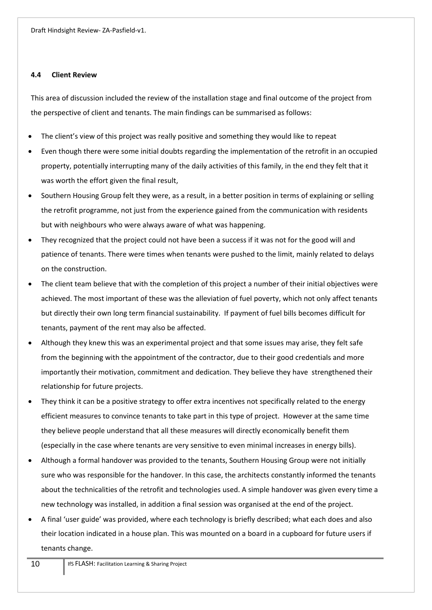#### **4.4 Client Review**

This area of discussion included the review of the installation stage and final outcome of the project from the perspective of client and tenants. The main findings can be summarised as follows:

- The client's view of this project was really positive and something they would like to repeat
- Even though there were some initial doubts regarding the implementation of the retrofit in an occupied property, potentially interrupting many of the daily activities of this family, in the end they felt that it was worth the effort given the final result,
- Southern Housing Group felt they were, as a result, in a better position in terms of explaining or selling the retrofit programme, not just from the experience gained from the communication with residents but with neighbours who were always aware of what was happening.
- They recognized that the project could not have been a success if it was not for the good will and patience of tenants. There were times when tenants were pushed to the limit, mainly related to delays on the construction.
- The client team believe that with the completion of this project a number of their initial objectives were achieved. The most important of these was the alleviation of fuel poverty, which not only affect tenants but directly their own long term financial sustainability. If payment of fuel bills becomes difficult for tenants, payment of the rent may also be affected.
- Although they knew this was an experimental project and that some issues may arise, they felt safe from the beginning with the appointment of the contractor, due to their good credentials and more importantly their motivation, commitment and dedication. They believe they have strengthened their relationship for future projects.
- They think it can be a positive strategy to offer extra incentives not specifically related to the energy efficient measures to convince tenants to take part in this type of project. However at the same time they believe people understand that all these measures will directly economically benefit them (especially in the case where tenants are very sensitive to even minimal increases in energy bills).
- Although a formal handover was provided to the tenants, Southern Housing Group were not initially sure who was responsible for the handover. In this case, the architects constantly informed the tenants about the technicalities of the retrofit and technologies used. A simple handover was given every time a new technology was installed, in addition a final session was organised at the end of the project.
- A final 'user guide' was provided, where each technology is briefly described; what each does and also their location indicated in a house plan. This was mounted on a board in a cupboard for future users if tenants change.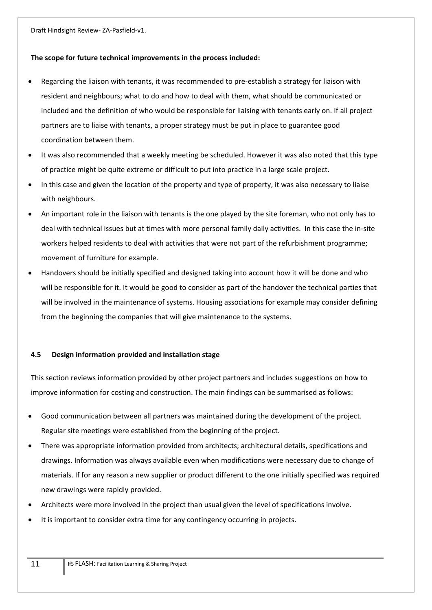### **The scope for future technical improvements in the process included:**

- Regarding the liaison with tenants, it was recommended to pre‐establish a strategy for liaison with resident and neighbours; what to do and how to deal with them, what should be communicated or included and the definition of who would be responsible for liaising with tenants early on. If all project partners are to liaise with tenants, a proper strategy must be put in place to guarantee good coordination between them.
- It was also recommended that a weekly meeting be scheduled. However it was also noted that this type of practice might be quite extreme or difficult to put into practice in a large scale project.
- In this case and given the location of the property and type of property, it was also necessary to liaise with neighbours.
- An important role in the liaison with tenants is the one played by the site foreman, who not only has to deal with technical issues but at times with more personal family daily activities. In this case the in‐site workers helped residents to deal with activities that were not part of the refurbishment programme; movement of furniture for example.
- Handovers should be initially specified and designed taking into account how it will be done and who will be responsible for it. It would be good to consider as part of the handover the technical parties that will be involved in the maintenance of systems. Housing associations for example may consider defining from the beginning the companies that will give maintenance to the systems.

# **4.5 Design information provided and installation stage**

This section reviews information provided by other project partners and includes suggestions on how to improve information for costing and construction. The main findings can be summarised as follows:

- Good communication between all partners was maintained during the development of the project. Regular site meetings were established from the beginning of the project.
- There was appropriate information provided from architects; architectural details, specifications and drawings. Information was always available even when modifications were necessary due to change of materials. If for any reason a new supplier or product different to the one initially specified was required new drawings were rapidly provided.
- Architects were more involved in the project than usual given the level of specifications involve.
- It is important to consider extra time for any contingency occurring in projects.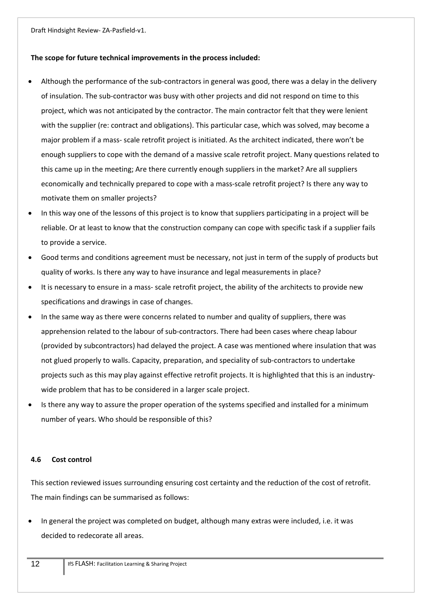### **The scope for future technical improvements in the process included:**

- Although the performance of the sub‐contractors in general was good, there was a delay in the delivery of insulation. The sub‐contractor was busy with other projects and did not respond on time to this project, which was not anticipated by the contractor. The main contractor felt that they were lenient with the supplier (re: contract and obligations). This particular case, which was solved, may become a major problem if a mass‐ scale retrofit project is initiated. As the architect indicated, there won't be enough suppliers to cope with the demand of a massive scale retrofit project. Many questions related to this came up in the meeting; Are there currently enough suppliers in the market? Are all suppliers economically and technically prepared to cope with a mass‐scale retrofit project? Is there any way to motivate them on smaller projects?
- In this way one of the lessons of this project is to know that suppliers participating in a project will be reliable. Or at least to know that the construction company can cope with specific task if a supplier fails to provide a service.
- Good terms and conditions agreement must be necessary, not just in term of the supply of products but quality of works. Is there any way to have insurance and legal measurements in place?
- It is necessary to ensure in a mass‐ scale retrofit project, the ability of the architects to provide new specifications and drawings in case of changes.
- In the same way as there were concerns related to number and quality of suppliers, there was apprehension related to the labour of sub‐contractors. There had been cases where cheap labour (provided by subcontractors) had delayed the project. A case was mentioned where insulation that was not glued properly to walls. Capacity, preparation, and speciality of sub‐contractors to undertake projects such as this may play against effective retrofit projects. It is highlighted that this is an industry‐ wide problem that has to be considered in a larger scale project.
- Is there any way to assure the proper operation of the systems specified and installed for a minimum number of years. Who should be responsible of this?

### **4.6 Cost control**

This section reviewed issues surrounding ensuring cost certainty and the reduction of the cost of retrofit. The main findings can be summarised as follows:

 In general the project was completed on budget, although many extras were included, i.e. it was decided to redecorate all areas.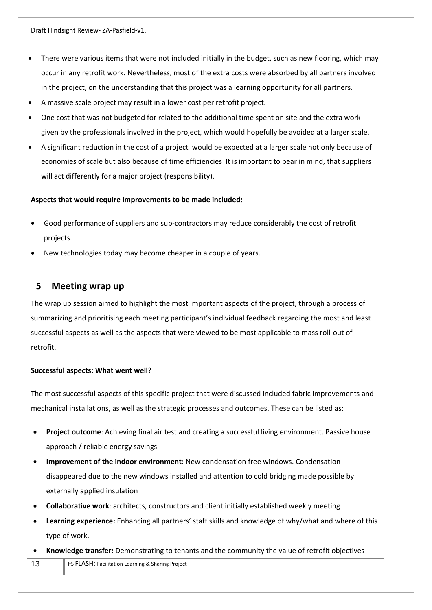- There were various items that were not included initially in the budget, such as new flooring, which may occur in any retrofit work. Nevertheless, most of the extra costs were absorbed by all partners involved in the project, on the understanding that this project was a learning opportunity for all partners.
- A massive scale project may result in a lower cost per retrofit project.
- One cost that was not budgeted for related to the additional time spent on site and the extra work given by the professionals involved in the project, which would hopefully be avoided at a larger scale.
- A significant reduction in the cost of a project would be expected at a larger scale not only because of economies of scale but also because of time efficiencies It is important to bear in mind, that suppliers will act differently for a major project (responsibility).

### **Aspects that would require improvements to be made included:**

- Good performance of suppliers and sub‐contractors may reduce considerably the cost of retrofit projects.
- New technologies today may become cheaper in a couple of years.

# **5 Meeting wrap up**

The wrap up session aimed to highlight the most important aspects of the project, through a process of summarizing and prioritising each meeting participant's individual feedback regarding the most and least successful aspects as well as the aspects that were viewed to be most applicable to mass roll-out of retrofit.

### **Successful aspects: What went well?**

The most successful aspects of this specific project that were discussed included fabric improvements and mechanical installations, as well as the strategic processes and outcomes. These can be listed as:

- **Project outcome**: Achieving final air test and creating a successful living environment. Passive house approach / reliable energy savings
- **Improvement of the indoor environment**: New condensation free windows. Condensation disappeared due to the new windows installed and attention to cold bridging made possible by externally applied insulation
- **Collaborative work**: architects, constructors and client initially established weekly meeting
- **Learning experience:** Enhancing all partners' staff skills and knowledge of why/what and where of this type of work.
- **Knowledge transfer:** Demonstrating to tenants and the community the value of retrofit objectives
- 13 **IfS FLASH: Facilitation Learning & Sharing Project**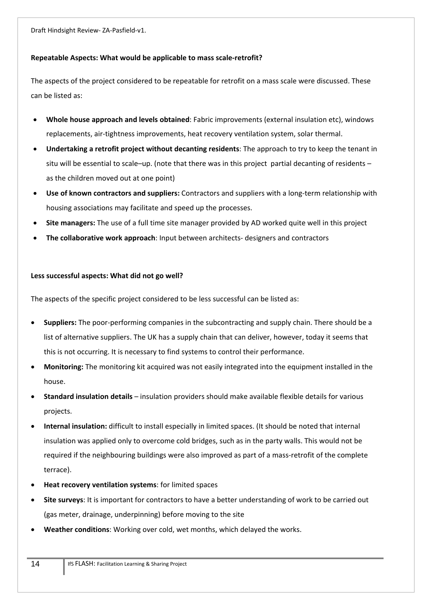### **Repeatable Aspects: What would be applicable to mass scale‐retrofit?**

The aspects of the project considered to be repeatable for retrofit on a mass scale were discussed. These can be listed as:

- **Whole house approach and levels obtained**: Fabric improvements (external insulation etc), windows replacements, air‐tightness improvements, heat recovery ventilation system, solar thermal.
- **Undertaking a retrofit project without decanting residents**: The approach to try to keep the tenant in situ will be essential to scale–up. (note that there was in this project partial decanting of residents – as the children moved out at one point)
- **Use of known contractors and suppliers:** Contractors and suppliers with a long‐term relationship with housing associations may facilitate and speed up the processes.
- **Site managers:** The use of a full time site manager provided by AD worked quite well in this project
- **The collaborative work approach**: Input between architects‐ designers and contractors

#### **Less successful aspects: What did not go well?**

The aspects of the specific project considered to be less successful can be listed as:

- **Suppliers:** The poor‐performing companies in the subcontracting and supply chain. There should be a list of alternative suppliers. The UK has a supply chain that can deliver, however, today it seems that this is not occurring. It is necessary to find systems to control their performance.
- **Monitoring:** The monitoring kit acquired was not easily integrated into the equipment installed in the house.
- **Standard insulation details** insulation providers should make available flexible details for various projects.
- **Internal insulation:** difficult to install especially in limited spaces. (It should be noted that internal insulation was applied only to overcome cold bridges, such as in the party walls. This would not be required if the neighbouring buildings were also improved as part of a mass-retrofit of the complete terrace).
- **Heat recovery ventilation systems**: for limited spaces
- **Site surveys**: It is important for contractors to have a better understanding of work to be carried out (gas meter, drainage, underpinning) before moving to the site
- **Weather conditions**: Working over cold, wet months, which delayed the works.